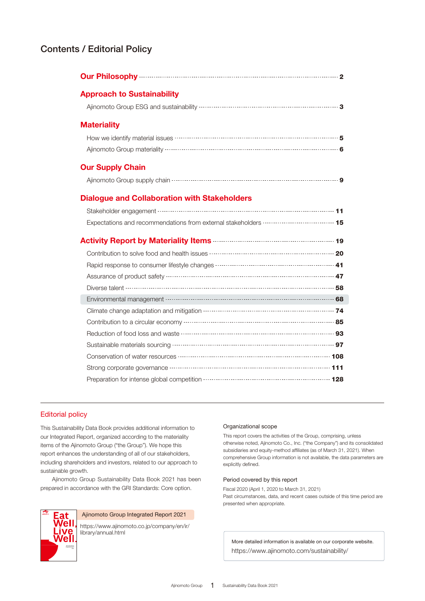## Contents / Editorial Policy

| Our Philosophy 22 and 23 and 24 and 24 and 25 and 25 and 25 and 26 and 26 and 26 and 26 and 26 and 26 and 26 and 26 and 26 and 26 and 26 and 26 and 26 and 26 and 26 and 26 and 26 and 26 and 26 and 26 and 26 and 26 and 26 a |  |
|--------------------------------------------------------------------------------------------------------------------------------------------------------------------------------------------------------------------------------|--|
| <b>Approach to Sustainability</b>                                                                                                                                                                                              |  |
|                                                                                                                                                                                                                                |  |
| <b>Materiality</b>                                                                                                                                                                                                             |  |
|                                                                                                                                                                                                                                |  |
|                                                                                                                                                                                                                                |  |
| <b>Our Supply Chain</b>                                                                                                                                                                                                        |  |
|                                                                                                                                                                                                                                |  |
| <b>Dialogue and Collaboration with Stakeholders</b>                                                                                                                                                                            |  |
|                                                                                                                                                                                                                                |  |
|                                                                                                                                                                                                                                |  |
|                                                                                                                                                                                                                                |  |
|                                                                                                                                                                                                                                |  |
| Rapid response to consumer lifestyle changes …………………………………………………… 41                                                                                                                                                           |  |
|                                                                                                                                                                                                                                |  |
|                                                                                                                                                                                                                                |  |
|                                                                                                                                                                                                                                |  |
|                                                                                                                                                                                                                                |  |
|                                                                                                                                                                                                                                |  |
|                                                                                                                                                                                                                                |  |
|                                                                                                                                                                                                                                |  |
|                                                                                                                                                                                                                                |  |
|                                                                                                                                                                                                                                |  |
|                                                                                                                                                                                                                                |  |

### Editorial policy

This Sustainability Data Book provides additional information to our Integrated Report, organized according to the materiality items of the Ajinomoto Group ("the Group"). We hope this report enhances the understanding of all of our stakeholders, including shareholders and investors, related to our approach to sustainable growth.

 Ajinomoto Group Sustainability Data Book 2021 has been prepared in accordance with the GRI Standards: Core option.



#### Ajinomoto Group Integrated Report 2021

[https://www.ajinomoto.co.jp/company/en/ir/](https://www.ajinomoto.co.jp/company/en/ir/library/annual.html) library/annual.html

#### Organizational scope

This report covers the activities of the Group, comprising, unless otherwise noted, Ajinomoto Co., Inc. ("the Company") and its consolidated subsidiaries and equity-method affiliates (as of March 31, 2021). When comprehensive Group information is not available, the data parameters are explicitly defined.

#### Period covered by this report

Fiscal 2020 (April 1, 2020 to March 31, 2021) Past circumstances, data, and recent cases outside of this time period are presented when appropriate.

More detailed information is available on our corporate website. https://www.ajinomoto.com/sustainability/